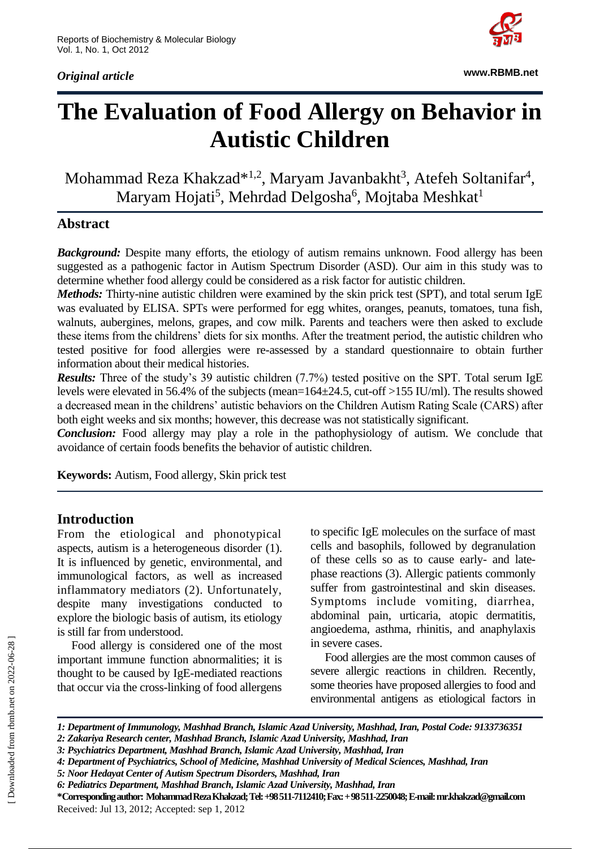*Original article*



**www.RBMB.net**

# **The Evaluation of Food Allergy on Behavior in Autistic Children**

Mohammad Reza Khakzad<sup>\*1,2</sup>, Maryam Javanbakht<sup>3</sup>, Atefeh Soltanifar<sup>4</sup>, Maryam Hojati<sup>5</sup>, Mehrdad Delgosha<sup>6</sup>, Mojtaba Meshkat<sup>1</sup>

#### **Abstract**

**Background:** Despite many efforts, the etiology of autism remains unknown. Food allergy has been suggested as a pathogenic factor in Autism Spectrum Disorder (ASD). Our aim in this study was to determine whether food allergy could be considered as a risk factor for autistic children.

*Methods:* Thirty-nine autistic children were examined by the skin prick test (SPT), and total serum IgE was evaluated by ELISA. SPTs were performed for egg whites, oranges, peanuts, tomatoes, tuna fish, walnuts, aubergines, melons, grapes, and cow milk. Parents and teachers were then asked to exclude these items from the childrens' diets for six months. After the treatment period, the autistic children who tested positive for food allergies were re-assessed by a standard questionnaire to obtain further information about their medical histories.

*Results:* Three of the study's 39 autistic children (7.7%) tested positive on the SPT. Total serum IgE levels were elevated in 56.4% of the subjects (mean=164±24.5, cut-off >155 IU/ml). The results showed a decreased mean in the childrens' autistic behaviors on the Children Autism Rating Scale (CARS) after both eight weeks and six months; however, this decrease was not statistically significant.

*Conclusion:* Food allergy may play a role in the pathophysiology of autism. We conclude that avoidance of certain foods benefits the behavior of autistic children.

**Keywords:** Autism, Food allergy, Skin prick test

#### **Introduction**

From the etiological and phonotypical aspects, autism is a heterogeneous disorder (1). It is influenced by genetic, environmental, and immunological factors, as well as increased inflammatory mediators (2). Unfortunately, despite many investigations conducted to explore the biologic basis of autism, its etiology is still far from understood.

Food allergy is considered one of the most important immune function abnormalities; it is thought to be caused by IgE-mediated reactions that occur via the cross-linking of food allergens

to specific IgE molecules on the surface of mast cells and basophils, followed by degranulation of these cells so as to cause early- and latephase reactions (3). Allergic patients commonly suffer from gastrointestinal and skin diseases. Symptoms include vomiting, diarrhea, abdominal pain, urticaria, atopic dermatitis, angioedema, asthma, rhinitis, and anaphylaxis in severe cases.

Food allergies are the most common causes of severe allergic reactions in children. Recently, some theories have proposed allergies to food and environmental antigens as etiological factors in

**\*Corresponding author: Mohammad Reza Khakzad; Tel: +98 511-7112410; Fax: + 98 511-2250048; E-mail[: mr.khakzad@gmail.com](mailto:mr.khakzad@gmail.com)** Received: Jul 13, 2012; Accepted: sep 1, 2012

*<sup>1:</sup> Department of Immunology, Mashhad Branch, Islamic Azad University, Mashhad, Iran, Postal Code: 9133736351 2: Zakariya Research center, Mashhad Branch, Islamic Azad University, Mashhad, Iran*

*<sup>3:</sup> Psychiatrics Department, Mashhad Branch, Islamic Azad University, Mashhad, Iran*

*<sup>4:</sup> Department of Psychiatrics, School of Medicine, Mashhad University of Medical Sciences, Mashhad, Iran*

*<sup>5:</sup> Noor Hedayat Center of Autism Spectrum Disorders, Mashhad, Iran*

*<sup>6:</sup> Pediatrics Department, Mashhad Branch, Islamic Azad University, Mashhad, Iran*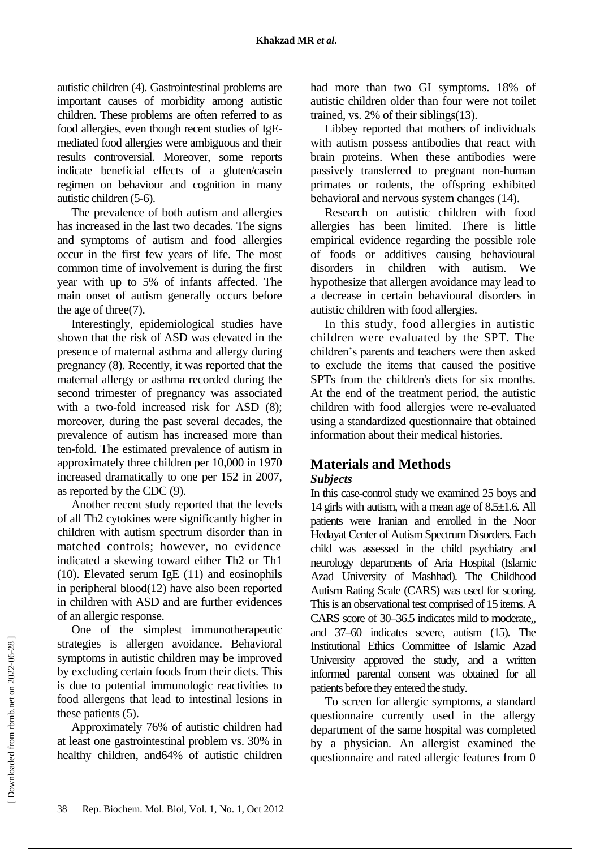autistic children (4). Gastrointestinal problems are important causes of morbidity among autistic children. These problems are often referred to as food allergies, even though recent studies of IgEmediated food allergies were ambiguous and their results controversial. Moreover, some reports indicate beneficial effects of a gluten/casein regimen on behaviour and cognition in many autistic children (5-6).

The prevalence of both autism and allergies has increased in the last two decades. The signs and symptoms of autism and food allergies occur in the first few years of life. The most common time of involvement is during the first year with up to 5% of infants affected. The main onset of autism generally occurs before the age of three(7).

Interestingly, epidemiological studies have shown that the risk of ASD was elevated in the presence of maternal asthma and allergy during pregnancy (8). Recently, it was reported that the maternal allergy or asthma recorded during the second trimester of pregnancy was associated with a two-fold increased risk for ASD  $(8)$ : moreover, during the past several decades, the prevalence of autism has increased more than ten-fold. The estimated prevalence of autism in approximately three children per 10,000 in 1970 increased dramatically to one per 152 in 2007, as reported by the CDC (9).

Another recent study reported that the levels of all Th2 cytokines were significantly higher in children with autism spectrum disorder than in matched controls; however, no evidence indicated a skewing toward either Th2 or Th1 (10). Elevated serum IgE (11) and eosinophils in peripheral blood(12) have also been reported in children with ASD and are further evidences of an allergic response.

One of the simplest immunotherapeutic strategies is allergen avoidance. Behavioral symptoms in autistic children may be improved by excluding certain foods from their diets. This is due to potential immunologic reactivities to food allergens that lead to intestinal lesions in these patients (5).

Approximately 76% of autistic children had at least one gastrointestinal problem vs. 30% in healthy children, and64% of autistic children

had more than two GI symptoms. 18% of autistic children older than four were not toilet trained, vs. 2% of their siblings(13).

Libbey reported that mothers of individuals with autism possess antibodies that react with brain proteins. When these antibodies were passively transferred to pregnant non-human primates or rodents, the offspring exhibited behavioral and nervous system changes (14).

Research on autistic children with food allergies has been limited. There is little empirical evidence regarding the possible role of foods or additives causing behavioural disorders in children with autism. We hypothesize that allergen avoidance may lead to a decrease in certain behavioural disorders in autistic children with food allergies.

In this study, food allergies in autistic children were evaluated by the SPT. The children's parents and teachers were then asked to exclude the items that caused the positive SPTs from the children's diets for six months. At the end of the treatment period, the autistic children with food allergies were re-evaluated using a standardized questionnaire that obtained information about their medical histories.

## **Materials and Methods**

#### *Subjects*

In this case-control study we examined 25 boys and 14 girls with autism, with a mean age of 8.5±1.6. All patients were Iranian and enrolled in the Noor Hedayat Center of Autism Spectrum Disorders. Each child was assessed in the child psychiatry and neurology departments of Aria Hospital (Islamic Azad University of Mashhad). The Childhood Autism Rating Scale (CARS) was used for scoring. This is an observational test comprised of 15 items. A CARS score of 30–36.5 indicates mild to moderate,, and 37–60 indicates severe, autism (15). The Institutional Ethics Committee of Islamic Azad University approved the study, and a written informed parental consent was obtained for all patients before they entered the study.

To screen for allergic symptoms, a standard questionnaire currently used in the allergy department of the same hospital was completed by a physician. An allergist examined the questionnaire and rated allergic features from 0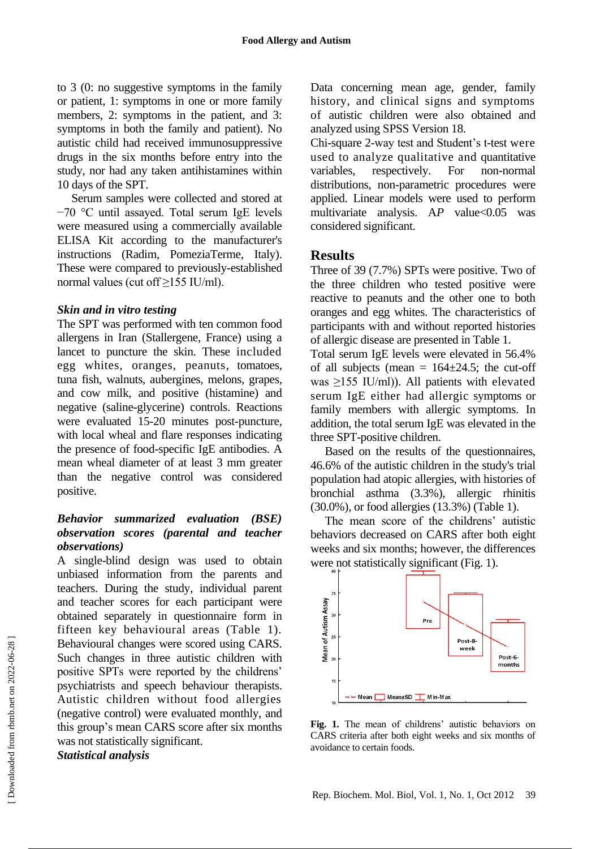to 3 (0: no suggestive symptoms in the family or patient, 1: symptoms in one or more family members, 2: symptoms in the patient, and 3: symptoms in both the family and patient). No autistic child had received immunosuppressive drugs in the six months before entry into the study, nor had any taken antihistamines within 10 days of the SPT.

Serum samples were collected and stored at −70 °C until assayed. Total serum IgE levels were measured using a commercially available ELISA Kit according to the manufacturer's instructions (Radim, PomeziaTerme, Italy). These were compared to previously-established normal values (cut off ≥155 IU/ml).

#### *Skin and in vitro testing*

The SPT was performed with ten common food allergens in Iran (Stallergene, France) using a lancet to puncture the skin. These included egg whites, oranges, peanuts, tomatoes, tuna fish, walnuts, aubergines, melons, grapes, and cow milk, and positive (histamine) and negative (saline-glycerine) controls. Reactions were evaluated 15-20 minutes post-puncture, with local wheal and flare responses indicating the presence of food-specific IgE antibodies. A mean wheal diameter of at least 3 mm greater than the negative control was considered positive.

#### *Behavior summarized evaluation (BSE) observation scores (parental and teacher observations)*

A single-blind design was used to obtain unbiased information from the parents and teachers. During the study, individual parent and teacher scores for each participant were obtained separately in questionnaire form in fifteen key behavioural areas (Table 1). Behavioural changes were scored using CARS. Such changes in three autistic children with positive SPTs were reported by the childrens' psychiatrists and speech behaviour therapists. Autistic children without food allergies (negative control) were evaluated monthly, and this group's mean CARS score after six months was not statistically significant. *Statistical analysis*

Data concerning mean age, gender, family history, and clinical signs and symptoms of autistic children were also obtained and analyzed using SPSS Version 18.

Chi-square 2-way test and Student's t-test were used to analyze qualitative and quantitative variables, respectively. For non-normal distributions, non-parametric procedures were applied. Linear models were used to perform multivariate analysis.  $AP$  value $< 0.05$  was considered significant.

#### **Results**

Three of 39 (7.7%) SPTs were positive. Two of the three children who tested positive were reactive to peanuts and the other one to both oranges and egg whites. The characteristics of participants with and without reported histories of allergic disease are presented in Table 1.

Total serum IgE levels were elevated in 56.4% of all subjects (mean =  $164\pm24.5$ ; the cut-off was  $\geq$ 155 IU/ml)). All patients with elevated serum IgE either had allergic symptoms or family members with allergic symptoms. In addition, the total serum IgE was elevated in the three SPT-positive children.

Based on the results of the questionnaires, 46.6% of the autistic children in the study's trial population had atopic allergies, with histories of bronchial asthma (3.3%), allergic rhinitis (30.0%), or food allergies (13.3%) (Table 1).

The mean score of the childrens' autistic behaviors decreased on CARS after both eight weeks and six months; however, the differences were not statistically significant (Fig. 1).



**Fig. 1.** The mean of childrens' autistic behaviors on CARS criteria after both eight weeks and six months of avoidance to certain foods.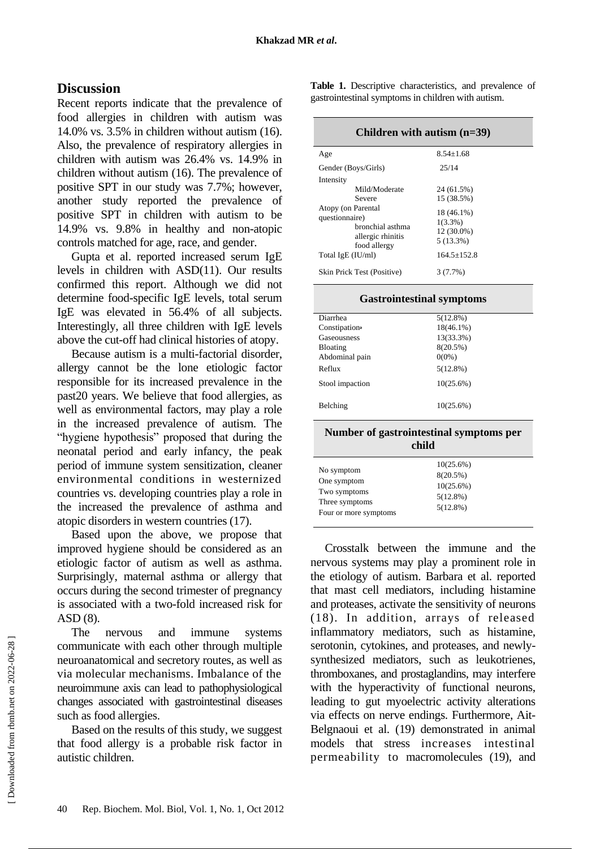### **Discussion**

Recent reports indicate that the prevalence of food allergies in children with autism was 14.0% vs. 3.5% in children without autism (16). Also, the prevalence of respiratory allergies in children with autism was 26.4% vs. 14.9% in children without autism (16). The prevalence of positive SPT in our study was 7.7%; however, another study reported the prevalence of positive SPT in children with autism to be 14.9% vs. 9.8% in healthy and non-atopic controls matched for age, race, and gender.

Gupta et al. reported increased serum IgE levels in children with ASD(11). Our results confirmed this report. Although we did not determine food-specific IgE levels, total serum IgE was elevated in 56.4% of all subjects. Interestingly, all three children with IgE levels above the cut-off had clinical histories of atopy.

Because autism is a multi-factorial disorder, allergy cannot be the lone etiologic factor responsible for its increased prevalence in the past20 years. We believe that food allergies, as well as environmental factors, may play a role in the increased prevalence of autism. The "hygiene hypothesis" proposed that during the neonatal period and early infancy, the peak period of immune system sensitization, cleaner environmental conditions in westernized countries vs. developing countries play a role in the increased the prevalence of asthma and atopic disorders in western countries (17).

Based upon the above, we propose that improved hygiene should be considered as an etiologic factor of autism as well as asthma. Surprisingly, maternal asthma or allergy that occurs during the second trimester of pregnancy is associated with a two-fold increased risk for ASD (8).

The nervous and immune systems communicate with each other through multiple neuroanatomical and secretory routes, as well as via molecular mechanisms. Imbalance of the neuroimmune axis can lead to pathophysiological changes associated with gastrointestinal diseases such as food allergies.

Based on the results of this study, we suggest that food allergy is a probable risk factor in autistic children.

**Table 1.** Descriptive characteristics, and prevalence of gastrointestinal symptoms in children with autism.

| Children with autism $(n=39)$                                                                                      |                                                                            |  |
|--------------------------------------------------------------------------------------------------------------------|----------------------------------------------------------------------------|--|
| Age                                                                                                                | $8.54 + 1.68$                                                              |  |
| Gender (Boys/Girls)                                                                                                | 25/14                                                                      |  |
| Intensity                                                                                                          |                                                                            |  |
| Mild/Moderate                                                                                                      | 24 (61.5%)                                                                 |  |
| Severe                                                                                                             | 15 (38.5%)                                                                 |  |
| Atopy (on Parental<br>questionnaire)<br>bronchial asthma<br>allergic rhinitis<br>food allergy<br>Total IgE (IU/ml) | 18 (46.1%)<br>$1(3.3\%)$<br>$12(30.0\%)$<br>$5(13.3\%)$<br>$164.5 + 152.8$ |  |
| Skin Prick Test (Positive)                                                                                         | 3(7.7%)                                                                    |  |

#### **Gastrointestinal symptoms**

| Diarrhea                                | $5(12.8\%)$  |  |
|-----------------------------------------|--------------|--|
| Constipation•                           | $18(46.1\%)$ |  |
| Gaseousness                             | 13(33.3%)    |  |
| Bloating                                | $8(20.5\%)$  |  |
| Abdominal pain                          | $0(0\%)$     |  |
| Reflux                                  | $5(12.8\%)$  |  |
| Stool impaction                         | $10(25.6\%)$ |  |
| Belching                                | $10(25.6\%)$ |  |
| Number of gastrointestinal symptoms per |              |  |

| child                 |             |  |
|-----------------------|-------------|--|
| No symptom            | 10(25.6%)   |  |
| One symptom           | $8(20.5\%)$ |  |
| Two symptoms          | 10(25.6%)   |  |
| Three symptoms        | $5(12.8\%)$ |  |
| Four or more symptoms | $5(12.8\%)$ |  |

Crosstalk between the immune and the nervous systems may play a prominent role in the etiology of autism. Barbara et al. reported that mast cell mediators, including histamine and proteases, activate the sensitivity of neurons (18). In addition, arrays of released inflammatory mediators, such as histamine, serotonin, cytokines, and proteases, and newlysynthesized mediators, such as leukotrienes, thromboxanes, and prostaglandins, may interfere with the hyperactivity of functional neurons, leading to gut myoelectric activity alterations via effects on nerve endings. Furthermore, Ait-Belgnaoui et al. (19) demonstrated in animal models that stress increases intestinal permeability to macromolecules (19), and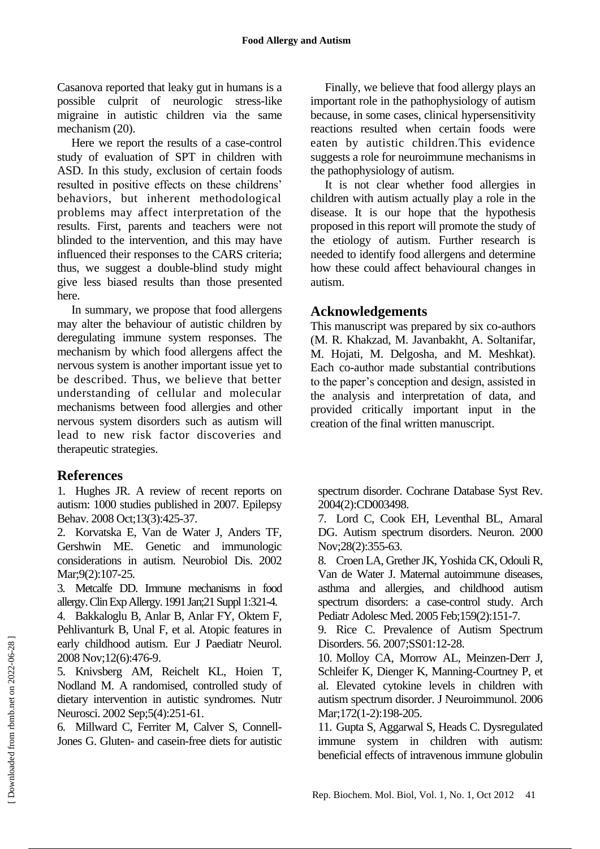Casanova reported that leaky gut in humans is a possible culprit of neurologic stress-like migraine in autistic children via the same mechanism (20).

Here we report the results of a case-control study of evaluation of SPT in children with ASD. In this study, exclusion of certain foods resulted in positive effects on these childrens' behaviors, but inherent methodological problems may affect interpretation of the results. First, parents and teachers were not blinded to the intervention, and this may have influenced their responses to the CARS criteria; thus, we suggest a double-blind study might give less biased results than those presented here.

In summary, we propose that food allergens may alter the behaviour of autistic children by deregulating immune system responses. The mechanism by which food allergens affect the nervous system is another important issue yet to be described. Thus, we believe that better understanding of cellular and molecular mechanisms between food allergies and other nervous system disorders such as autism will lead to new risk factor discoveries and therapeutic strategies.

#### **References**

1. Hughes JR. A review of recent reports on autism: 1000 studies published in 2007. Epilepsy Behav. 2008 Oct;13(3):425-37.

2. Korvatska E, Van de Water J, Anders TF, Gershwin ME. Genetic and immunologic considerations in autism. Neurobiol Dis. 2002 Mar: 9(2): 107-25.

3. Metcalfe DD. Immune mechanisms in food allergy. Clin Exp Allergy. 1991 Jan;21 Suppl 1:321-4.

4. Bakkaloglu B, Anlar B, Anlar FY, Oktem F, Pehlivanturk B, Unal F, et al. Atopic features in early childhood autism. Eur J Paediatr Neurol. 2008 Nov;12(6):476-9.

5. Knivsberg AM, Reichelt KL, Hoien T, Nodland M. A randomised, controlled study of dietary intervention in autistic syndromes. Nutr Neurosci. 2002 Sep;5(4):251-61.

6. Millward C, Ferriter M, Calver S, Connell-Jones G. Gluten- and casein-free diets for autistic

Finally, we believe that food allergy plays an important role in the pathophysiology of autism because, in some cases, clinical hypersensitivity reactions resulted when certain foods were eaten by autistic children.This evidence suggests a role for neuroimmune mechanisms in the pathophysiology of autism.

It is not clear whether food allergies in children with autism actually play a role in the disease. It is our hope that the hypothesis proposed in this report will promote the study of the etiology of autism. Further research is needed to identify food allergens and determine how these could affect behavioural changes in autism.

#### **Acknowledgements**

This manuscript was prepared by six co-authors (M. R. Khakzad, M. Javanbakht, A. Soltanifar, M. Hojati, M. Delgosha, and M. Meshkat). Each co-author made substantial contributions to the paper's conception and design, assisted in the analysis and interpretation of data, and provided critically important input in the creation of the final written manuscript.

spectrum disorder. Cochrane Database Syst Rev. 2004(2):CD003498.

7. Lord C, Cook EH, Leventhal BL, Amaral DG. Autism spectrum disorders. Neuron. 2000 Nov;28(2):355-63.

8. Croen LA, Grether JK, Yoshida CK, Odouli R, Van de Water J. Maternal autoimmune diseases, asthma and allergies, and childhood autism spectrum disorders: a case-control study. Arch Pediatr Adolesc Med. 2005 Feb;159(2):151-7.

9. Rice C. Prevalence of Autism Spectrum Disorders. 56. 2007;SS01:12-28.

10. Molloy CA, Morrow AL, Meinzen-Derr J, Schleifer K, Dienger K, Manning-Courtney P, et al. Elevated cytokine levels in children with autism spectrum disorder. J Neuroimmunol. 2006 Mar; 172(1-2): 198-205.

11. Gupta S, Aggarwal S, Heads C. Dysregulated immune system in children with autism: beneficial effects of intravenous immune globulin